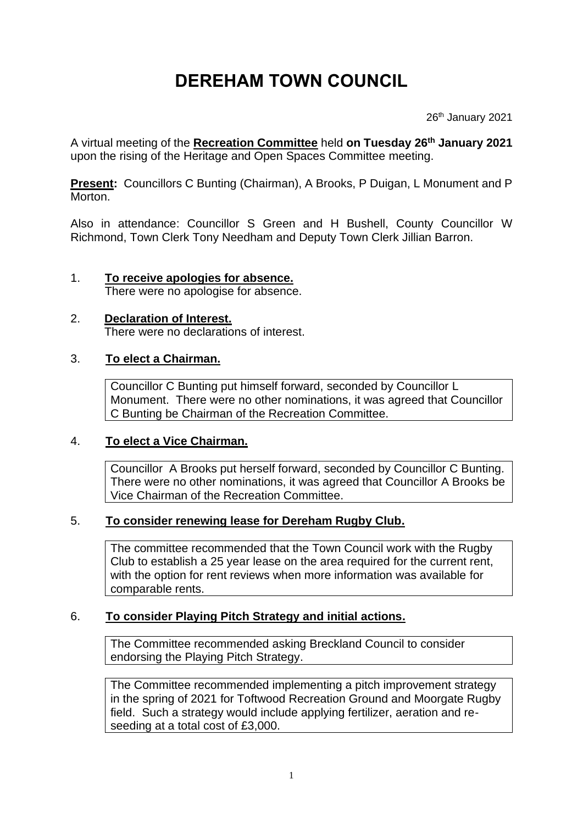# **DEREHAM TOWN COUNCIL**

26<sup>th</sup> January 2021

A virtual meeting of the **Recreation Committee** held **on Tuesday 26 th January 2021** upon the rising of the Heritage and Open Spaces Committee meeting.

**Present:** Councillors C Bunting (Chairman), A Brooks, P Duigan, L Monument and P Morton.

Also in attendance: Councillor S Green and H Bushell, County Councillor W Richmond, Town Clerk Tony Needham and Deputy Town Clerk Jillian Barron.

#### 1. **To receive apologies for absence.** There were no apologise for absence.

#### 2. **Declaration of Interest.** There were no declarations of interest.

## 3. **To elect a Chairman.**

Councillor C Bunting put himself forward, seconded by Councillor L Monument. There were no other nominations, it was agreed that Councillor C Bunting be Chairman of the Recreation Committee.

#### 4. **To elect a Vice Chairman.**

Councillor A Brooks put herself forward, seconded by Councillor C Bunting. There were no other nominations, it was agreed that Councillor A Brooks be Vice Chairman of the Recreation Committee.

#### 5. **To consider renewing lease for Dereham Rugby Club.**

The committee recommended that the Town Council work with the Rugby Club to establish a 25 year lease on the area required for the current rent, with the option for rent reviews when more information was available for comparable rents.

## 6. **To consider Playing Pitch Strategy and initial actions.**

The Committee recommended asking Breckland Council to consider endorsing the Playing Pitch Strategy.

The Committee recommended implementing a pitch improvement strategy in the spring of 2021 for Toftwood Recreation Ground and Moorgate Rugby field. Such a strategy would include applying fertilizer, aeration and reseeding at a total cost of £3,000.